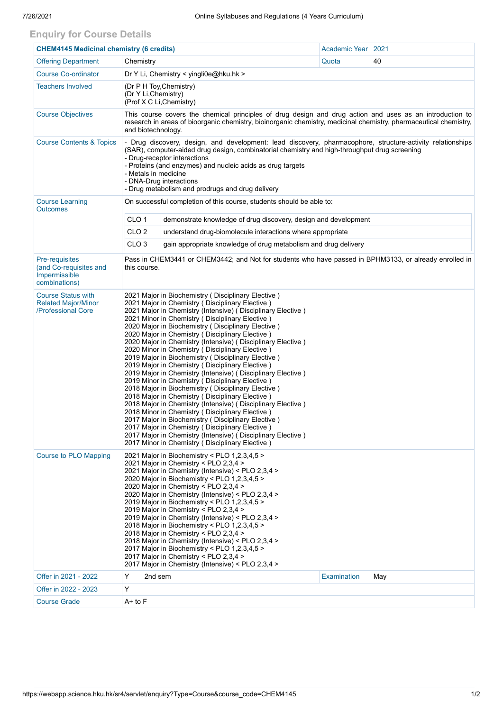## **Enquiry for Course Details**

| <b>CHEM4145 Medicinal chemistry (6 credits)</b>                               |                                                                                                                                                                                                                                                                                                                                                                                                                                                                                                                                                                                                                                                                                                                                                                                                                                                                                                                                                                                                                                                                                                                                         | <b>Academic Year</b>                                            | 2021        |     |  |  |  |  |  |
|-------------------------------------------------------------------------------|-----------------------------------------------------------------------------------------------------------------------------------------------------------------------------------------------------------------------------------------------------------------------------------------------------------------------------------------------------------------------------------------------------------------------------------------------------------------------------------------------------------------------------------------------------------------------------------------------------------------------------------------------------------------------------------------------------------------------------------------------------------------------------------------------------------------------------------------------------------------------------------------------------------------------------------------------------------------------------------------------------------------------------------------------------------------------------------------------------------------------------------------|-----------------------------------------------------------------|-------------|-----|--|--|--|--|--|
| <b>Offering Department</b>                                                    | Chemistry                                                                                                                                                                                                                                                                                                                                                                                                                                                                                                                                                                                                                                                                                                                                                                                                                                                                                                                                                                                                                                                                                                                               |                                                                 | Quota       | 40  |  |  |  |  |  |
| <b>Course Co-ordinator</b>                                                    |                                                                                                                                                                                                                                                                                                                                                                                                                                                                                                                                                                                                                                                                                                                                                                                                                                                                                                                                                                                                                                                                                                                                         | Dr Y Li, Chemistry < yingli0e@hku.hk >                          |             |     |  |  |  |  |  |
| <b>Teachers Involved</b>                                                      | (Dr P H Toy, Chemistry)<br>(Dr Y Li, Chemistry)<br>(Prof X C Li, Chemistry)                                                                                                                                                                                                                                                                                                                                                                                                                                                                                                                                                                                                                                                                                                                                                                                                                                                                                                                                                                                                                                                             |                                                                 |             |     |  |  |  |  |  |
| <b>Course Objectives</b>                                                      | This course covers the chemical principles of drug design and drug action and uses as an introduction to<br>research in areas of bioorganic chemistry, bioinorganic chemistry, medicinal chemistry, pharmaceutical chemistry,<br>and biotechnology.                                                                                                                                                                                                                                                                                                                                                                                                                                                                                                                                                                                                                                                                                                                                                                                                                                                                                     |                                                                 |             |     |  |  |  |  |  |
| <b>Course Contents &amp; Topics</b>                                           | - Drug discovery, design, and development: lead discovery, pharmacophore, structure-activity relationships<br>(SAR), computer-aided drug design, combinatorial chemistry and high-throughput drug screening<br>- Drug-receptor interactions<br>- Proteins (and enzymes) and nucleic acids as drug targets<br>- Metals in medicine<br>- DNA-Drug interactions<br>- Drug metabolism and prodrugs and drug delivery                                                                                                                                                                                                                                                                                                                                                                                                                                                                                                                                                                                                                                                                                                                        |                                                                 |             |     |  |  |  |  |  |
| <b>Course Learning</b><br><b>Outcomes</b>                                     | On successful completion of this course, students should be able to:                                                                                                                                                                                                                                                                                                                                                                                                                                                                                                                                                                                                                                                                                                                                                                                                                                                                                                                                                                                                                                                                    |                                                                 |             |     |  |  |  |  |  |
|                                                                               | CLO <sub>1</sub>                                                                                                                                                                                                                                                                                                                                                                                                                                                                                                                                                                                                                                                                                                                                                                                                                                                                                                                                                                                                                                                                                                                        | demonstrate knowledge of drug discovery, design and development |             |     |  |  |  |  |  |
|                                                                               | CLO <sub>2</sub>                                                                                                                                                                                                                                                                                                                                                                                                                                                                                                                                                                                                                                                                                                                                                                                                                                                                                                                                                                                                                                                                                                                        | understand drug-biomolecule interactions where appropriate      |             |     |  |  |  |  |  |
|                                                                               | CLO <sub>3</sub>                                                                                                                                                                                                                                                                                                                                                                                                                                                                                                                                                                                                                                                                                                                                                                                                                                                                                                                                                                                                                                                                                                                        | gain appropriate knowledge of drug metabolism and drug delivery |             |     |  |  |  |  |  |
| Pre-requisites<br>(and Co-requisites and<br>Impermissible<br>combinations)    | Pass in CHEM3441 or CHEM3442; and Not for students who have passed in BPHM3133, or already enrolled in<br>this course.                                                                                                                                                                                                                                                                                                                                                                                                                                                                                                                                                                                                                                                                                                                                                                                                                                                                                                                                                                                                                  |                                                                 |             |     |  |  |  |  |  |
| <b>Course Status with</b><br><b>Related Major/Minor</b><br>/Professional Core | 2021 Major in Biochemistry (Disciplinary Elective)<br>2021 Major in Chemistry (Disciplinary Elective)<br>2021 Major in Chemistry (Intensive) (Disciplinary Elective)<br>2021 Minor in Chemistry (Disciplinary Elective)<br>2020 Major in Biochemistry (Disciplinary Elective)<br>2020 Major in Chemistry (Disciplinary Elective)<br>2020 Major in Chemistry (Intensive) (Disciplinary Elective)<br>2020 Minor in Chemistry (Disciplinary Elective)<br>2019 Major in Biochemistry (Disciplinary Elective)<br>2019 Major in Chemistry ( Disciplinary Elective )<br>2019 Major in Chemistry (Intensive) (Disciplinary Elective)<br>2019 Minor in Chemistry (Disciplinary Elective)<br>2018 Major in Biochemistry (Disciplinary Elective)<br>2018 Major in Chemistry ( Disciplinary Elective )<br>2018 Major in Chemistry (Intensive) (Disciplinary Elective)<br>2018 Minor in Chemistry (Disciplinary Elective)<br>2017 Major in Biochemistry (Disciplinary Elective)<br>2017 Major in Chemistry (Disciplinary Elective)<br>2017 Major in Chemistry (Intensive) (Disciplinary Elective)<br>2017 Minor in Chemistry (Disciplinary Elective) |                                                                 |             |     |  |  |  |  |  |
| <b>Course to PLO Mapping</b>                                                  | 2021 Major in Biochemistry < PLO 1,2,3,4,5 ><br>2021 Major in Chemistry < PLO 2,3,4 ><br>2021 Major in Chemistry (Intensive) < PLO 2,3,4 ><br>2020 Major in Biochemistry < PLO 1,2,3,4,5 ><br>2020 Major in Chemistry < PLO 2,3,4 ><br>2020 Major in Chemistry (Intensive) < PLO 2,3,4 ><br>2019 Major in Biochemistry < PLO 1,2,3,4,5 ><br>2019 Major in Chemistry < PLO 2,3,4 ><br>2019 Major in Chemistry (Intensive) < PLO 2,3,4 ><br>2018 Major in Biochemistry < PLO 1,2,3,4,5 ><br>2018 Major in Chemistry < PLO 2,3,4 ><br>2018 Major in Chemistry (Intensive) < PLO 2,3,4 ><br>2017 Major in Biochemistry < PLO 1,2,3,4,5 ><br>2017 Major in Chemistry < PLO 2,3,4 ><br>2017 Major in Chemistry (Intensive) < PLO 2,3,4 >                                                                                                                                                                                                                                                                                                                                                                                                      |                                                                 |             |     |  |  |  |  |  |
| Offer in 2021 - 2022                                                          | Y<br>2nd sem                                                                                                                                                                                                                                                                                                                                                                                                                                                                                                                                                                                                                                                                                                                                                                                                                                                                                                                                                                                                                                                                                                                            |                                                                 | Examination | May |  |  |  |  |  |
| Offer in 2022 - 2023                                                          | Y                                                                                                                                                                                                                                                                                                                                                                                                                                                                                                                                                                                                                                                                                                                                                                                                                                                                                                                                                                                                                                                                                                                                       |                                                                 |             |     |  |  |  |  |  |
| <b>Course Grade</b>                                                           | A+ to F                                                                                                                                                                                                                                                                                                                                                                                                                                                                                                                                                                                                                                                                                                                                                                                                                                                                                                                                                                                                                                                                                                                                 |                                                                 |             |     |  |  |  |  |  |